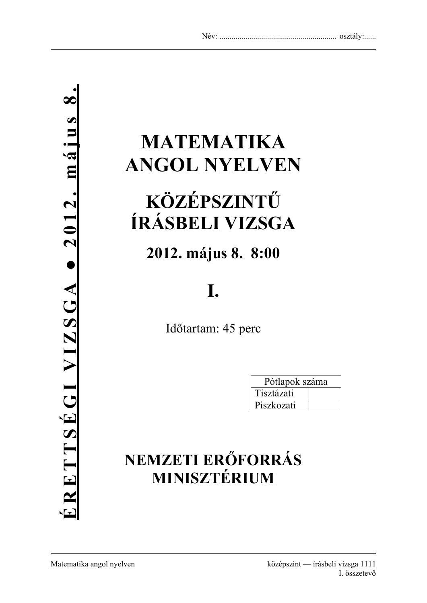# **MATEMATIKA ANGOL NYELVEN**

## **KÖZÉPSZINTŰ ÍRÁSBELI VIZSGA**

**2012. május 8. 8:00** 

**I.**

Időtartam: 45 perc

| Pótlapok száma |  |
|----------------|--|
| Tisztázati     |  |
| Piszkozati     |  |

## **NEMZETI ERŐFORRÁS MINISZTÉRIUM**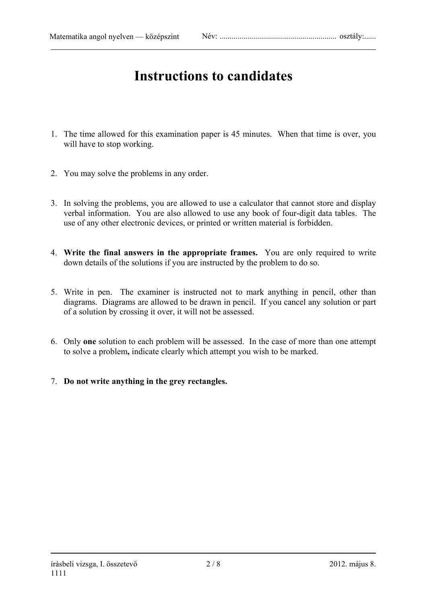### **Instructions to candidates**

- 1. The time allowed for this examination paper is 45 minutes. When that time is over, you will have to stop working.
- 2. You may solve the problems in any order.
- 3. In solving the problems, you are allowed to use a calculator that cannot store and display verbal information. You are also allowed to use any book of four-digit data tables. The use of any other electronic devices, or printed or written material is forbidden.
- 4. **Write the final answers in the appropriate frames.** You are only required to write down details of the solutions if you are instructed by the problem to do so.
- 5. Write in pen. The examiner is instructed not to mark anything in pencil, other than diagrams. Diagrams are allowed to be drawn in pencil. If you cancel any solution or part of a solution by crossing it over, it will not be assessed.
- 6. Only **one** solution to each problem will be assessed. In the case of more than one attempt to solve a problem**,** indicate clearly which attempt you wish to be marked.
- 7. **Do not write anything in the grey rectangles.**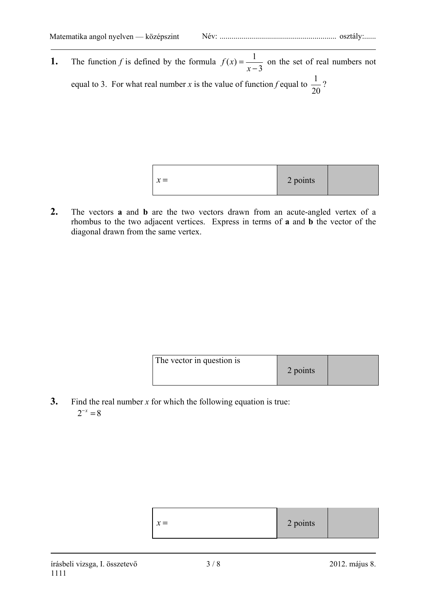**1.** The function *f* is defined by the formula  $f(x) = \frac{1}{x-3}$  on the set of real numbers not equal to 3. For what real number *x* is the value of function *f* equal to  $\frac{1}{20}$ ?

**2.** The vectors **a** and **b** are the two vectors drawn from an acute-angled vertex of a rhombus to the two adjacent vertices. Express in terms of **a** and **b** the vector of the diagonal drawn from the same vertex.

| The vector in question is | 2 points |  |
|---------------------------|----------|--|
|                           |          |  |

**3.** Find the real number *x* for which the following equation is true:  $2^{-x} = 8$ 

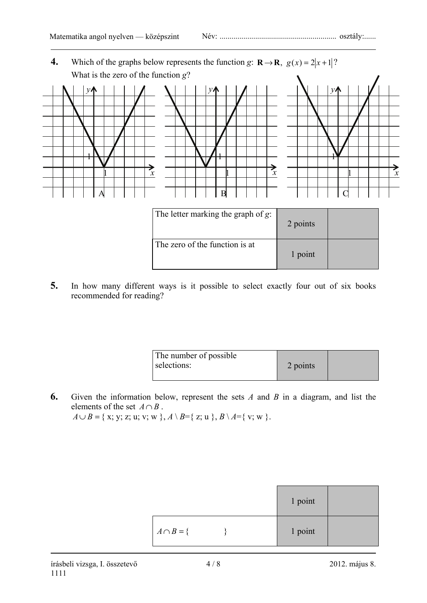**4.** Which of the graphs below represents the function *g*:  $\mathbf{R} \rightarrow \mathbf{R}$ ,  $g(x) = 2|x+1|$ ? What is the zero of the function *g*?



**5.** In how many different ways is it possible to select exactly four out of six books recommended for reading?

| The number of possible |          |  |
|------------------------|----------|--|
| selections:            | 2 points |  |

1 point

**6.** Given the information below, represent the sets *A* and *B* in a diagram, and list the elements of the set  $A \cap B$ .

*A*∪ *B* = { x; y; z; u; v; w }, *A* \ *B*={ z; u }, *B* \ *A*={ v; w }.

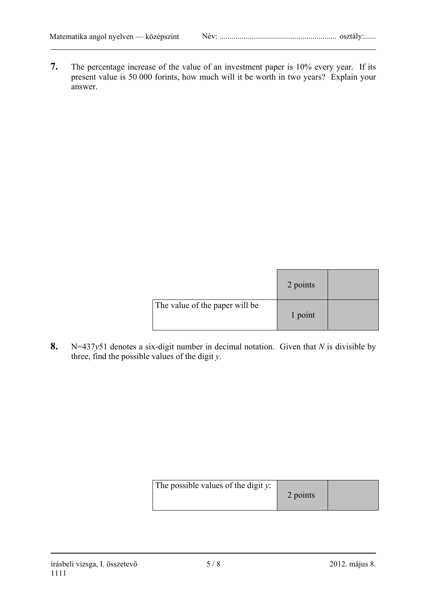**7.** The percentage increase of the value of an investment paper is 10% every year. If its present value is 50 000 forints, how much will it be worth in two years? Explain your answer.

|                                | 2 points |  |
|--------------------------------|----------|--|
| The value of the paper will be | 1 point  |  |

**8.** N=437*y*51 denotes a six-digit number in decimal notation. Given that *N* is divisible by three, find the possible values of the digit *y*.

| The possible values of the digit $y$ : | 2 points |  |
|----------------------------------------|----------|--|
|----------------------------------------|----------|--|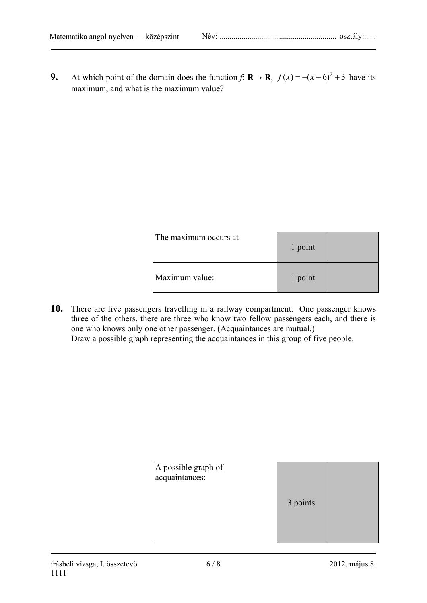**9.** At which point of the domain does the function *f*: **R** $\rightarrow$  **R**,  $f(x) = -(x-6)^2 + 3$  have its maximum, and what is the maximum value?

| The maximum occurs at | 1 point |  |
|-----------------------|---------|--|
| Maximum value:        | 1 point |  |

**10.** There are five passengers travelling in a railway compartment. One passenger knows three of the others, there are three who know two fellow passengers each, and there is one who knows only one other passenger. (Acquaintances are mutual.) Draw a possible graph representing the acquaintances in this group of five people.

| A possible graph of<br>acquaintances: | 3 points |  |
|---------------------------------------|----------|--|
|                                       |          |  |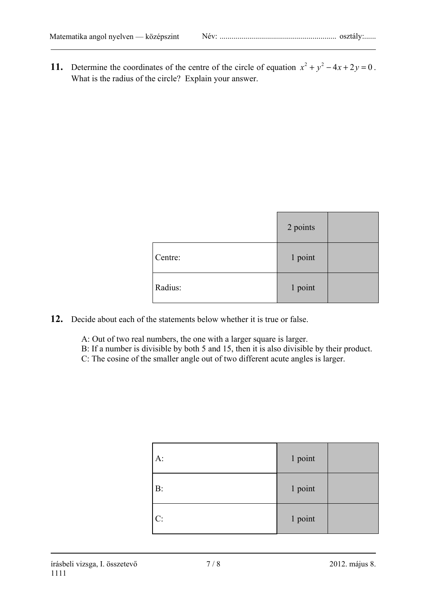**11.** Determine the coordinates of the centre of the circle of equation  $x^2 + y^2 - 4x + 2y = 0$ . What is the radius of the circle? Explain your answer.

|         | 2 points |  |
|---------|----------|--|
| Centre: | 1 point  |  |
| Radius: | 1 point  |  |

**12.** Decide about each of the statements below whether it is true or false.

A: Out of two real numbers, the one with a larger square is larger.

B: If a number is divisible by both 5 and 15, then it is also divisible by their product.

C: The cosine of the smaller angle out of two different acute angles is larger.

| $A$ : | 1 point |  |
|-------|---------|--|
| $B$ : | 1 point |  |
| C:    | 1 point |  |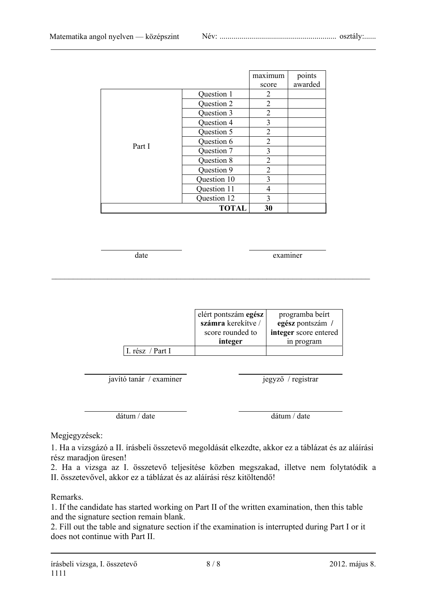|        |              | maximum        | points  |
|--------|--------------|----------------|---------|
|        |              | score          | awarded |
|        | Question 1   | 2              |         |
|        | Question 2   | $\overline{2}$ |         |
|        | Question 3   | $\overline{2}$ |         |
|        | Question 4   | 3              |         |
|        | Question 5   | $\overline{2}$ |         |
| Part I | Question 6   | $\overline{2}$ |         |
|        | Question 7   | $\overline{3}$ |         |
|        | Question 8   | 2              |         |
|        | Question 9   | $\overline{2}$ |         |
|        | Question 10  | 3              |         |
|        | Question 11  | 4              |         |
|        | Question 12  | 3              |         |
|        | <b>TOTAL</b> | 30             |         |

date examiner

|                  | elért pontszám egész | programba beírt       |
|------------------|----------------------|-----------------------|
|                  | számra kerekítve /   | egész pontszám        |
|                  | score rounded to     | integer score entered |
|                  | integer              | in program            |
| I. rész / Part I |                      |                       |

\_\_\_\_\_\_\_\_\_\_\_\_\_\_\_\_\_\_\_\_\_\_\_\_\_\_\_\_\_\_\_\_\_\_\_\_\_\_\_\_\_\_\_\_\_\_\_\_\_\_\_\_\_\_\_\_\_\_\_\_\_\_\_\_\_\_\_\_\_\_\_\_\_\_

javító tanár / examiner jegyző / registrar

dátum / date dátum / date

Megjegyzések:

1. Ha a vizsgázó a II. írásbeli összetevő megoldását elkezdte, akkor ez a táblázat és az aláírási rész maradjon üresen!

2. Ha a vizsga az I. összetevő teljesítése közben megszakad, illetve nem folytatódik a II. összetevővel, akkor ez a táblázat és az aláírási rész kitöltendő!

#### Remarks.

1. If the candidate has started working on Part II of the written examination, then this table and the signature section remain blank.

2. Fill out the table and signature section if the examination is interrupted during Part I or it does not continue with Part II.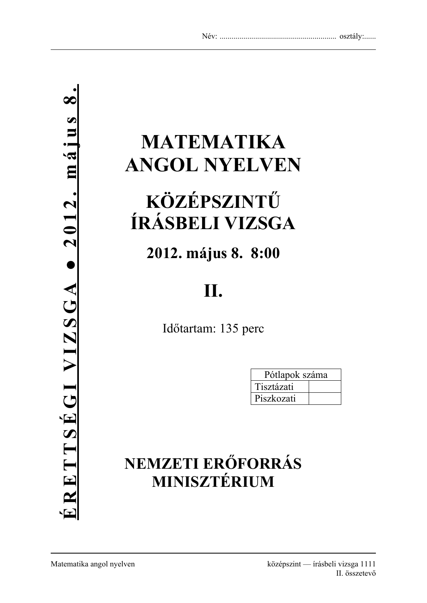# **MATEMATIKA ANGOL NYELVEN**

## **KÖZÉPSZINTŰ ÍRÁSBELI VIZSGA**

**2012. május 8. 8:00** 

## **II.**

Időtartam: 135 perc

| Pótlapok száma |  |
|----------------|--|
| Tisztázati     |  |
| Piszkozati     |  |

## **NEMZETI ERŐFORRÁS MINISZTÉRIUM**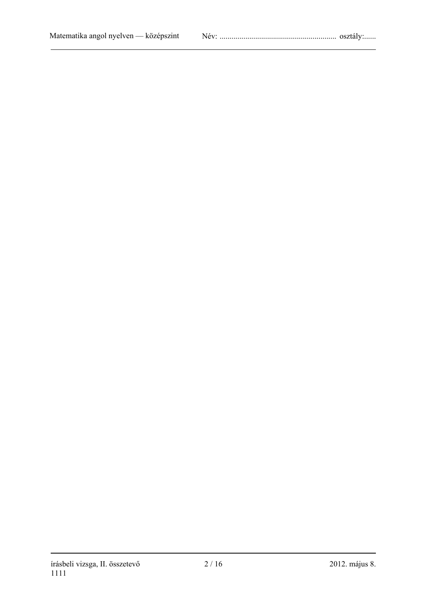| Matematika angol nyelven — középszint |  |  |
|---------------------------------------|--|--|
|---------------------------------------|--|--|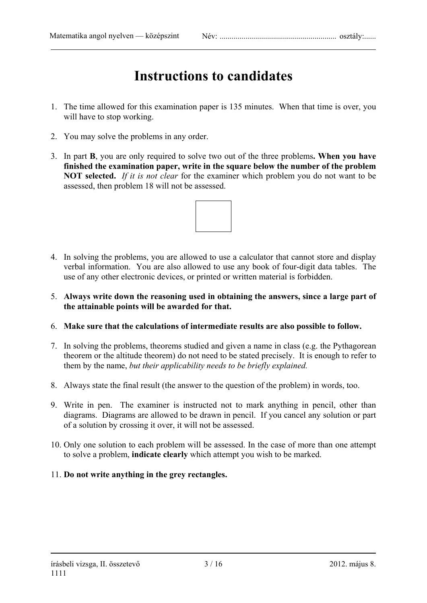### **Instructions to candidates**

- 1. The time allowed for this examination paper is 135 minutes. When that time is over, you will have to stop working.
- 2. You may solve the problems in any order.
- 3. In part **B**, you are only required to solve two out of the three problems**. When you have finished the examination paper, write in the square below the number of the problem NOT selected.** *If it is not clear* for the examiner which problem you do not want to be assessed, then problem 18 will not be assessed.



- 4. In solving the problems, you are allowed to use a calculator that cannot store and display verbal information. You are also allowed to use any book of four-digit data tables. The use of any other electronic devices, or printed or written material is forbidden.
- 5. **Always write down the reasoning used in obtaining the answers, since a large part of the attainable points will be awarded for that.**
- 6. **Make sure that the calculations of intermediate results are also possible to follow.**
- 7. In solving the problems, theorems studied and given a name in class (e.g. the Pythagorean theorem or the altitude theorem) do not need to be stated precisely. It is enough to refer to them by the name, *but their applicability needs to be briefly explained.*
- 8. Always state the final result (the answer to the question of the problem) in words, too.
- 9. Write in pen. The examiner is instructed not to mark anything in pencil, other than diagrams. Diagrams are allowed to be drawn in pencil. If you cancel any solution or part of a solution by crossing it over, it will not be assessed.
- 10. Only one solution to each problem will be assessed. In the case of more than one attempt to solve a problem, **indicate clearly** which attempt you wish to be marked.
- 11. **Do not write anything in the grey rectangles.**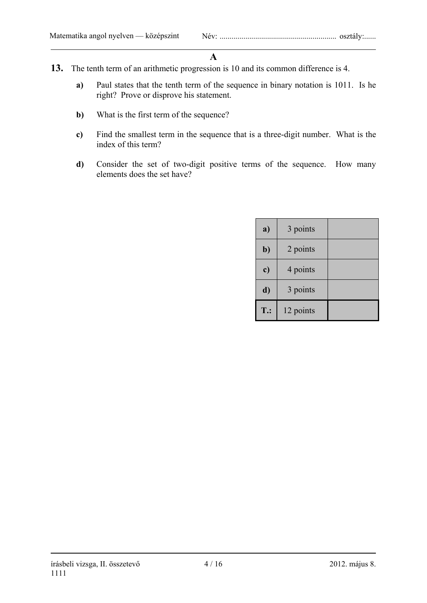### **A**

- **13.** The tenth term of an arithmetic progression is 10 and its common difference is 4.
	- **a)** Paul states that the tenth term of the sequence in binary notation is 1011. Is he right? Prove or disprove his statement.
	- **b)** What is the first term of the sequence?
	- **c)** Find the smallest term in the sequence that is a three-digit number. What is the index of this term?
	- **d)** Consider the set of two-digit positive terms of the sequence. How many elements does the set have?

| a)         | 3 points  |  |
|------------|-----------|--|
| b)         | 2 points  |  |
| c)         | 4 points  |  |
| d)         | 3 points  |  |
| <b>T.:</b> | 12 points |  |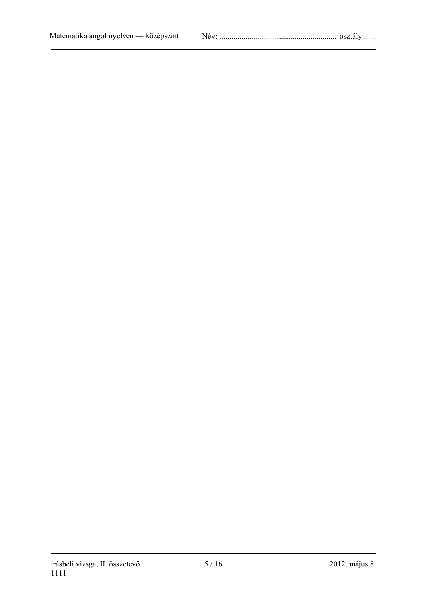| Matematika angol nyelven — középszint |  |  |
|---------------------------------------|--|--|
|---------------------------------------|--|--|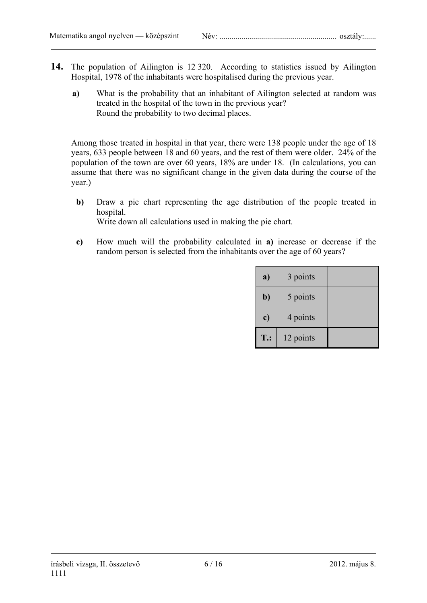- **14.** The population of Ailington is 12 320. According to statistics issued by Ailington Hospital, 1978 of the inhabitants were hospitalised during the previous year.
	- **a)** What is the probability that an inhabitant of Ailington selected at random was treated in the hospital of the town in the previous year? Round the probability to two decimal places.

Among those treated in hospital in that year, there were 138 people under the age of 18 years, 633 people between 18 and 60 years, and the rest of them were older. 24% of the population of the town are over 60 years, 18% are under 18. (In calculations, you can assume that there was no significant change in the given data during the course of the year.)

- **b)** Draw a pie chart representing the age distribution of the people treated in hospital. Write down all calculations used in making the pie chart.
- **c)** How much will the probability calculated in **a)** increase or decrease if the random person is selected from the inhabitants over the age of 60 years?

| a)     | 3 points  |  |
|--------|-----------|--|
| b)     | 5 points  |  |
| c)     | 4 points  |  |
| $T$ .: | 12 points |  |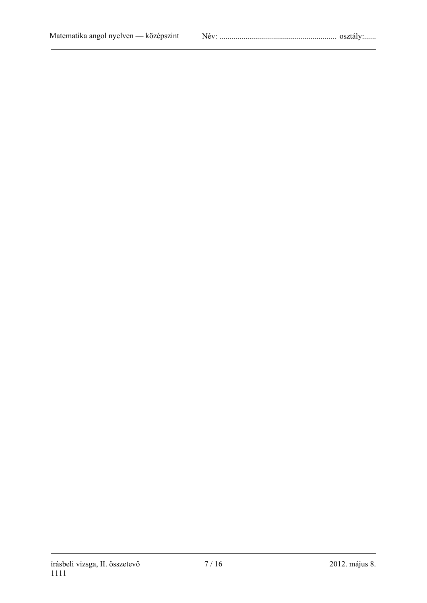| Matematika angol nyelven — középszint |  |  |
|---------------------------------------|--|--|
|---------------------------------------|--|--|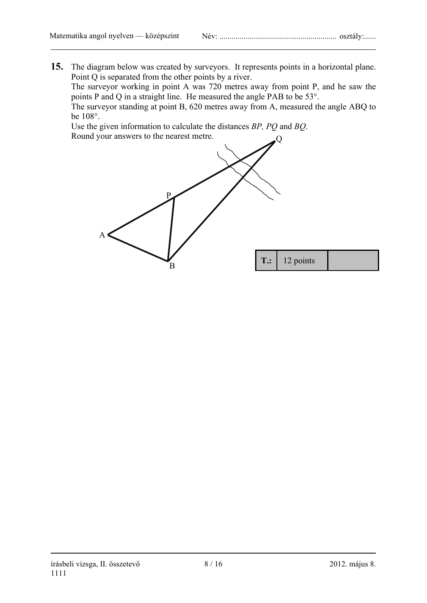**15.** The diagram below was created by surveyors. It represents points in a horizontal plane. Point Q is separated from the other points by a river.

The surveyor working in point A was 720 metres away from point P, and he saw the points P and Q in a straight line. He measured the angle PAB to be 53°.

The surveyor standing at point B, 620 metres away from A, measured the angle ABQ to be 108°.

Use the given information to calculate the distances *BP, PQ* and *BQ*. Round your answers to the nearest metre. Q

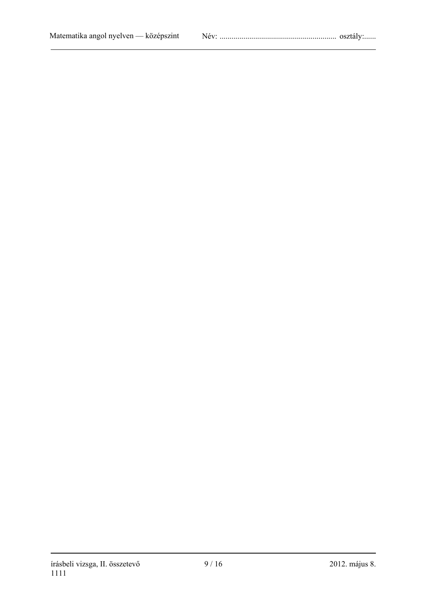| Matematika angol nyelven — középszint |  |  |
|---------------------------------------|--|--|
|---------------------------------------|--|--|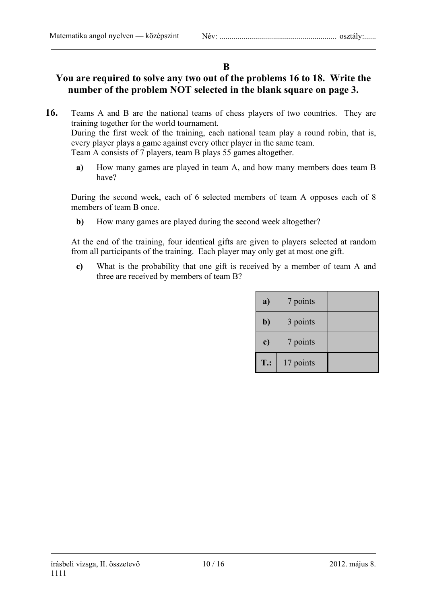### **B**

### **You are required to solve any two out of the problems 16 to 18. Write the number of the problem NOT selected in the blank square on page 3.**

- **16.** Teams A and B are the national teams of chess players of two countries. They are training together for the world tournament. During the first week of the training, each national team play a round robin, that is, every player plays a game against every other player in the same team. Team A consists of 7 players, team B plays 55 games altogether.
	- **a)** How many games are played in team A, and how many members does team B have?

During the second week, each of 6 selected members of team A opposes each of 8 members of team B once.

**b**) How many games are played during the second week altogether?

At the end of the training, four identical gifts are given to players selected at random from all participants of the training. Each player may only get at most one gift.

**c)** What is the probability that one gift is received by a member of team A and three are received by members of team B?

| a)         | 7 points  |  |
|------------|-----------|--|
| b)         | 3 points  |  |
| c)         | 7 points  |  |
| <b>T.:</b> | 17 points |  |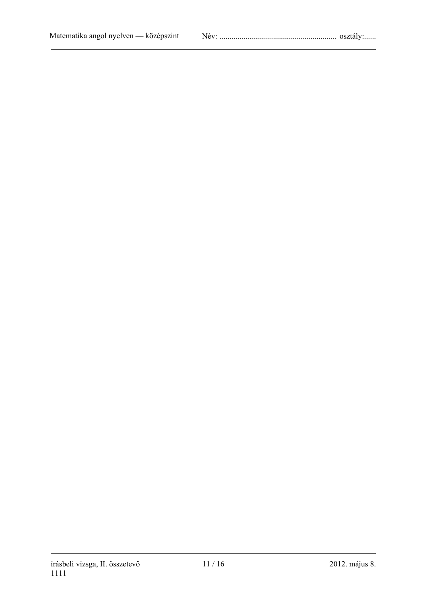| Matematika angol nyelven — középszint |  |  |
|---------------------------------------|--|--|
|---------------------------------------|--|--|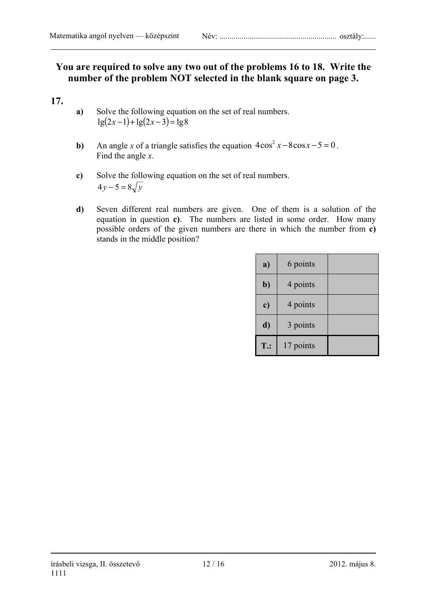### **You are required to solve any two out of the problems 16 to 18. Write the number of the problem NOT selected in the blank square on page 3.**

#### **17.**

- **a)** Solve the following equation on the set of real numbers.  $\lg (2x-1) + \lg (2x-3) = \lg 8$
- **b**) An angle *x* of a triangle satisfies the equation  $4\cos^2 x 8\cos x 5 = 0$ . Find the angle *x*.
- **c)** Solve the following equation on the set of real numbers.  $4y - 5 = 8\sqrt{y}$
- **d)** Seven different real numbers are given. One of them is a solution of the equation in question **c)**. The numbers are listed in some order. How many possible orders of the given numbers are there in which the number from **c)** stands in the middle position?

| a)         | 6 points  |  |
|------------|-----------|--|
| b)         | 4 points  |  |
| c)         | 4 points  |  |
| d)         | 3 points  |  |
| <b>T.:</b> | 17 points |  |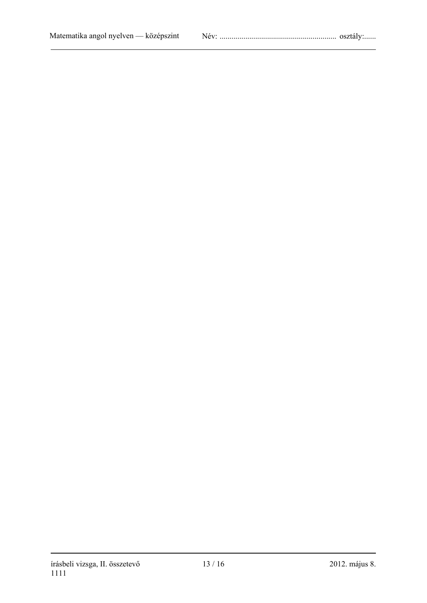| Matematika angol nyelven — középszint |  |  |
|---------------------------------------|--|--|
|---------------------------------------|--|--|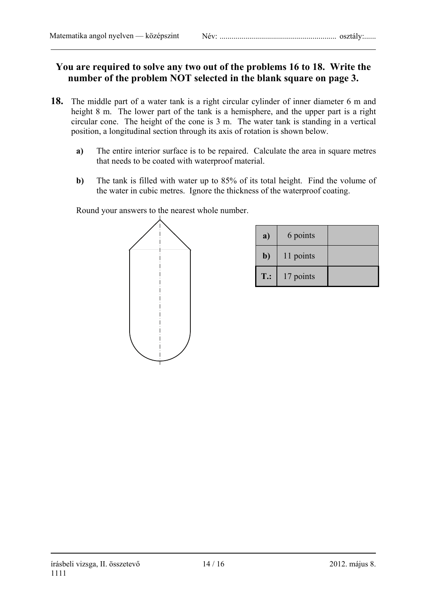### **You are required to solve any two out of the problems 16 to 18. Write the number of the problem NOT selected in the blank square on page 3.**

- **18.** The middle part of a water tank is a right circular cylinder of inner diameter 6 m and height 8 m. The lower part of the tank is a hemisphere, and the upper part is a right circular cone. The height of the cone is 3 m. The water tank is standing in a vertical position, a longitudinal section through its axis of rotation is shown below.
	- **a)** The entire interior surface is to be repaired. Calculate the area in square metres that needs to be coated with waterproof material.
	- **b)** The tank is filled with water up to 85% of its total height. Find the volume of the water in cubic metres. Ignore the thickness of the waterproof coating.

Round your answers to the nearest whole number.



| a)           | 6 points  |  |
|--------------|-----------|--|
| $\mathbf{b}$ | 11 points |  |
| $T$ .:       | 17 points |  |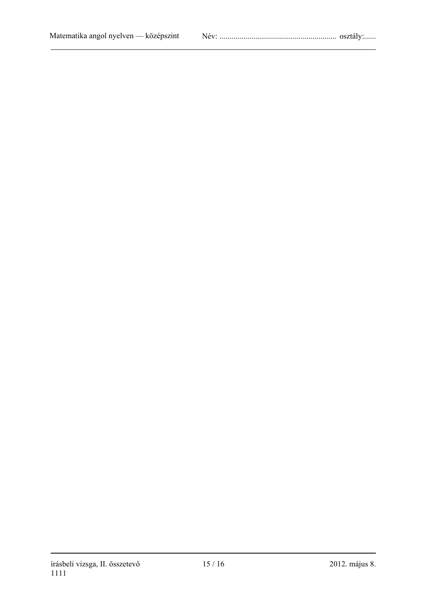| Matematika angol nyelven — középszint |  |  |
|---------------------------------------|--|--|
|---------------------------------------|--|--|